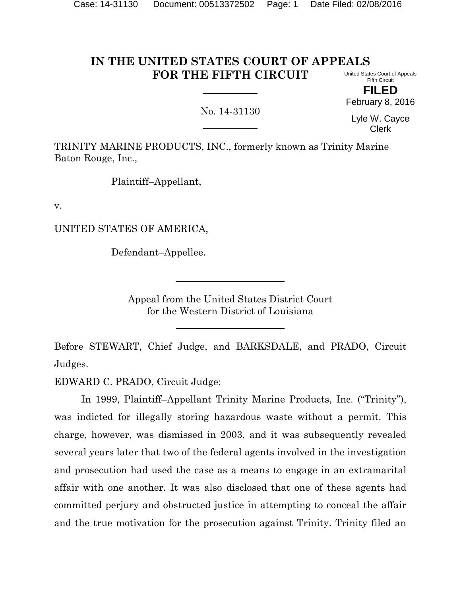#### **IN THE UNITED STATES COURT OF APPEALS FOR THE FIFTH CIRCUIT** United States Court of Appeals

Fifth Circuit **FILED** February 8, 2016

No. 14-31130

Lyle W. Cayce Clerk

TRINITY MARINE PRODUCTS, INC., formerly known as Trinity Marine Baton Rouge, Inc.,

Plaintiff–Appellant,

v.

UNITED STATES OF AMERICA,

Defendant–Appellee.

Appeal from the United States District Court for the Western District of Louisiana

Before STEWART, Chief Judge, and BARKSDALE, and PRADO, Circuit Judges.

EDWARD C. PRADO, Circuit Judge:

In 1999, Plaintiff–Appellant Trinity Marine Products, Inc. ("Trinity"), was indicted for illegally storing hazardous waste without a permit. This charge, however, was dismissed in 2003, and it was subsequently revealed several years later that two of the federal agents involved in the investigation and prosecution had used the case as a means to engage in an extramarital affair with one another. It was also disclosed that one of these agents had committed perjury and obstructed justice in attempting to conceal the affair and the true motivation for the prosecution against Trinity. Trinity filed an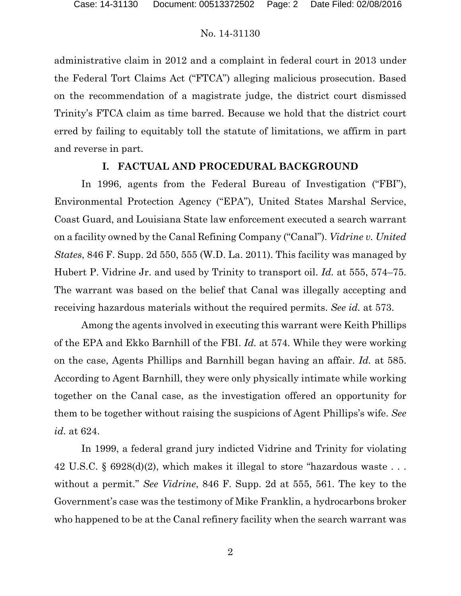administrative claim in 2012 and a complaint in federal court in 2013 under the Federal Tort Claims Act ("FTCA") alleging malicious prosecution. Based on the recommendation of a magistrate judge, the district court dismissed Trinity's FTCA claim as time barred. Because we hold that the district court erred by failing to equitably toll the statute of limitations, we affirm in part and reverse in part.

### **I. FACTUAL AND PROCEDURAL BACKGROUND**

In 1996, agents from the Federal Bureau of Investigation ("FBI"), Environmental Protection Agency ("EPA"), United States Marshal Service, Coast Guard, and Louisiana State law enforcement executed a search warrant on a facility owned by the Canal Refining Company ("Canal"). *Vidrine v. United States*, 846 F. Supp. 2d 550, 555 (W.D. La. 2011). This facility was managed by Hubert P. Vidrine Jr. and used by Trinity to transport oil. *Id.* at 555, 574–75. The warrant was based on the belief that Canal was illegally accepting and receiving hazardous materials without the required permits. *See id.* at 573.

Among the agents involved in executing this warrant were Keith Phillips of the EPA and Ekko Barnhill of the FBI. *Id.* at 574. While they were working on the case, Agents Phillips and Barnhill began having an affair. *Id.* at 585. According to Agent Barnhill, they were only physically intimate while working together on the Canal case, as the investigation offered an opportunity for them to be together without raising the suspicions of Agent Phillips's wife. *See id.* at 624.

In 1999, a federal grand jury indicted Vidrine and Trinity for violating 42 U.S.C. § 6928(d)(2), which makes it illegal to store "hazardous waste . . . without a permit." *See Vidrine*, 846 F. Supp. 2d at 555, 561. The key to the Government's case was the testimony of Mike Franklin, a hydrocarbons broker who happened to be at the Canal refinery facility when the search warrant was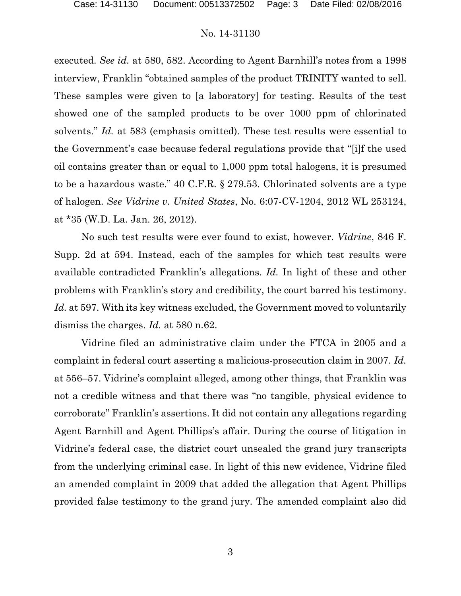executed. *See id.* at 580, 582. According to Agent Barnhill's notes from a 1998 interview, Franklin "obtained samples of the product TRINITY wanted to sell. These samples were given to [a laboratory] for testing. Results of the test showed one of the sampled products to be over 1000 ppm of chlorinated solvents." *Id.* at 583 (emphasis omitted). These test results were essential to the Government's case because federal regulations provide that "[i]f the used oil contains greater than or equal to 1,000 ppm total halogens, it is presumed to be a hazardous waste." 40 C.F.R. § 279.53. Chlorinated solvents are a type of halogen. *See Vidrine v. United States*, No. 6:07-CV-1204, 2012 WL 253124, at \*35 (W.D. La. Jan. 26, 2012).

No such test results were ever found to exist, however. *Vidrine*, 846 F. Supp. 2d at 594. Instead, each of the samples for which test results were available contradicted Franklin's allegations. *Id.* In light of these and other problems with Franklin's story and credibility, the court barred his testimony. *Id.* at 597. With its key witness excluded, the Government moved to voluntarily dismiss the charges. *Id.* at 580 n.62.

Vidrine filed an administrative claim under the FTCA in 2005 and a complaint in federal court asserting a malicious-prosecution claim in 2007. *Id.* at 556–57. Vidrine's complaint alleged, among other things, that Franklin was not a credible witness and that there was "no tangible, physical evidence to corroborate" Franklin's assertions. It did not contain any allegations regarding Agent Barnhill and Agent Phillips's affair. During the course of litigation in Vidrine's federal case, the district court unsealed the grand jury transcripts from the underlying criminal case. In light of this new evidence, Vidrine filed an amended complaint in 2009 that added the allegation that Agent Phillips provided false testimony to the grand jury. The amended complaint also did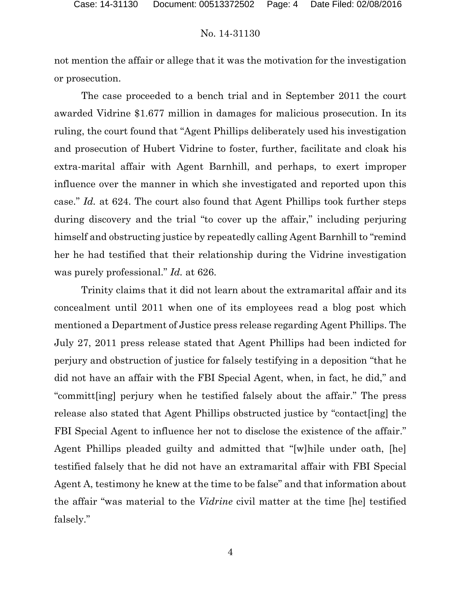not mention the affair or allege that it was the motivation for the investigation or prosecution.

The case proceeded to a bench trial and in September 2011 the court awarded Vidrine \$1.677 million in damages for malicious prosecution. In its ruling, the court found that "Agent Phillips deliberately used his investigation and prosecution of Hubert Vidrine to foster, further, facilitate and cloak his extra-marital affair with Agent Barnhill, and perhaps, to exert improper influence over the manner in which she investigated and reported upon this case." *Id.* at 624. The court also found that Agent Phillips took further steps during discovery and the trial "to cover up the affair," including perjuring himself and obstructing justice by repeatedly calling Agent Barnhill to "remind her he had testified that their relationship during the Vidrine investigation was purely professional." *Id.* at 626.

Trinity claims that it did not learn about the extramarital affair and its concealment until 2011 when one of its employees read a blog post which mentioned a Department of Justice press release regarding Agent Phillips. The July 27, 2011 press release stated that Agent Phillips had been indicted for perjury and obstruction of justice for falsely testifying in a deposition "that he did not have an affair with the FBI Special Agent, when, in fact, he did," and "committ[ing] perjury when he testified falsely about the affair." The press release also stated that Agent Phillips obstructed justice by "contact[ing] the FBI Special Agent to influence her not to disclose the existence of the affair." Agent Phillips pleaded guilty and admitted that "[w]hile under oath, [he] testified falsely that he did not have an extramarital affair with FBI Special Agent A, testimony he knew at the time to be false" and that information about the affair "was material to the *Vidrine* civil matter at the time [he] testified falsely."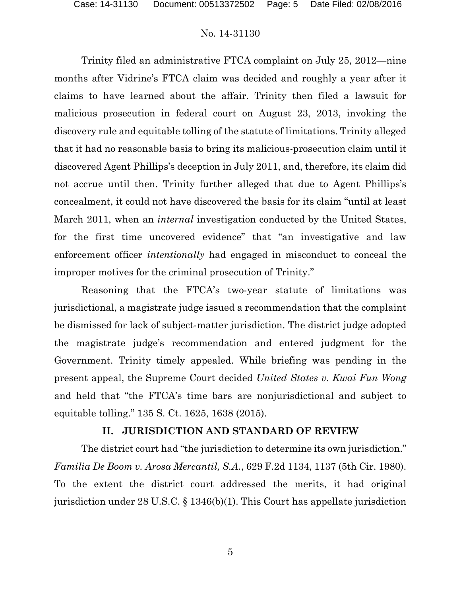Trinity filed an administrative FTCA complaint on July 25, 2012—nine months after Vidrine's FTCA claim was decided and roughly a year after it claims to have learned about the affair. Trinity then filed a lawsuit for malicious prosecution in federal court on August 23, 2013, invoking the discovery rule and equitable tolling of the statute of limitations. Trinity alleged that it had no reasonable basis to bring its malicious-prosecution claim until it discovered Agent Phillips's deception in July 2011, and, therefore, its claim did not accrue until then. Trinity further alleged that due to Agent Phillips's concealment, it could not have discovered the basis for its claim "until at least March 2011, when an *internal* investigation conducted by the United States, for the first time uncovered evidence" that "an investigative and law enforcement officer *intentionally* had engaged in misconduct to conceal the improper motives for the criminal prosecution of Trinity."

Reasoning that the FTCA's two-year statute of limitations was jurisdictional, a magistrate judge issued a recommendation that the complaint be dismissed for lack of subject-matter jurisdiction. The district judge adopted the magistrate judge's recommendation and entered judgment for the Government. Trinity timely appealed. While briefing was pending in the present appeal, the Supreme Court decided *United States v. Kwai Fun Wong* and held that "the FTCA's time bars are nonjurisdictional and subject to equitable tolling." 135 S. Ct. 1625, 1638 (2015).

## **II. JURISDICTION AND STANDARD OF REVIEW**

The district court had "the jurisdiction to determine its own jurisdiction." *Familia De Boom v. Arosa Mercantil, S.A.*, 629 F.2d 1134, 1137 (5th Cir. 1980). To the extent the district court addressed the merits, it had original jurisdiction under 28 U.S.C. § 1346(b)(1). This Court has appellate jurisdiction

5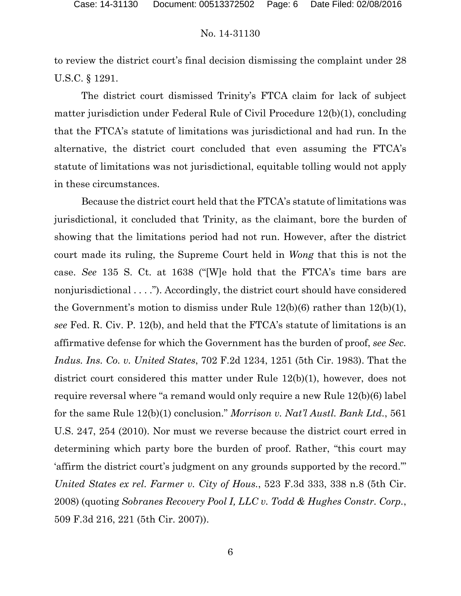to review the district court's final decision dismissing the complaint under 28 U.S.C. § 1291.

The district court dismissed Trinity's FTCA claim for lack of subject matter jurisdiction under Federal Rule of Civil Procedure 12(b)(1), concluding that the FTCA's statute of limitations was jurisdictional and had run. In the alternative, the district court concluded that even assuming the FTCA's statute of limitations was not jurisdictional, equitable tolling would not apply in these circumstances.

Because the district court held that the FTCA's statute of limitations was jurisdictional, it concluded that Trinity, as the claimant, bore the burden of showing that the limitations period had not run. However, after the district court made its ruling, the Supreme Court held in *Wong* that this is not the case. *See* 135 S. Ct. at 1638 ("[W]e hold that the FTCA's time bars are nonjurisdictional . . . ."). Accordingly, the district court should have considered the Government's motion to dismiss under Rule 12(b)(6) rather than 12(b)(1), *see* Fed. R. Civ. P. 12(b), and held that the FTCA's statute of limitations is an affirmative defense for which the Government has the burden of proof, *see Sec. Indus. Ins. Co. v. United States*, 702 F.2d 1234, 1251 (5th Cir. 1983). That the district court considered this matter under Rule 12(b)(1), however, does not require reversal where "a remand would only require a new Rule 12(b)(6) label for the same Rule 12(b)(1) conclusion." *Morrison v. Nat'l Austl. Bank Ltd.*, 561 U.S. 247, 254 (2010). Nor must we reverse because the district court erred in determining which party bore the burden of proof. Rather, "this court may 'affirm the district court's judgment on any grounds supported by the record.'" *United States ex rel. Farmer v. City of Hous.*, 523 F.3d 333, 338 n.8 (5th Cir. 2008) (quoting *Sobranes Recovery Pool I, LLC v. Todd & Hughes Constr. Corp.*, 509 F.3d 216, 221 (5th Cir. 2007)).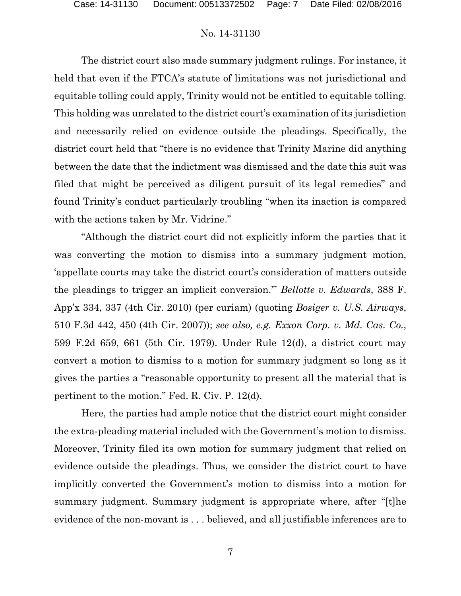The district court also made summary judgment rulings. For instance, it held that even if the FTCA's statute of limitations was not jurisdictional and equitable tolling could apply, Trinity would not be entitled to equitable tolling. This holding was unrelated to the district court's examination of its jurisdiction and necessarily relied on evidence outside the pleadings. Specifically, the district court held that "there is no evidence that Trinity Marine did anything between the date that the indictment was dismissed and the date this suit was filed that might be perceived as diligent pursuit of its legal remedies" and found Trinity's conduct particularly troubling "when its inaction is compared with the actions taken by Mr. Vidrine."

"Although the district court did not explicitly inform the parties that it was converting the motion to dismiss into a summary judgment motion, 'appellate courts may take the district court's consideration of matters outside the pleadings to trigger an implicit conversion.'" *Bellotte v. Edwards*, 388 F. App'x 334, 337 (4th Cir. 2010) (per curiam) (quoting *Bosiger v. U.S. Airways*, 510 F.3d 442, 450 (4th Cir. 2007)); *see also, e.g. Exxon Corp. v. Md. Cas. Co.*, 599 F.2d 659, 661 (5th Cir. 1979). Under Rule 12(d), a district court may convert a motion to dismiss to a motion for summary judgment so long as it gives the parties a "reasonable opportunity to present all the material that is pertinent to the motion." Fed. R. Civ. P. 12(d).

Here, the parties had ample notice that the district court might consider the extra-pleading material included with the Government's motion to dismiss. Moreover, Trinity filed its own motion for summary judgment that relied on evidence outside the pleadings. Thus, we consider the district court to have implicitly converted the Government's motion to dismiss into a motion for summary judgment. Summary judgment is appropriate where, after "[t]he evidence of the non-movant is . . . believed, and all justifiable inferences are to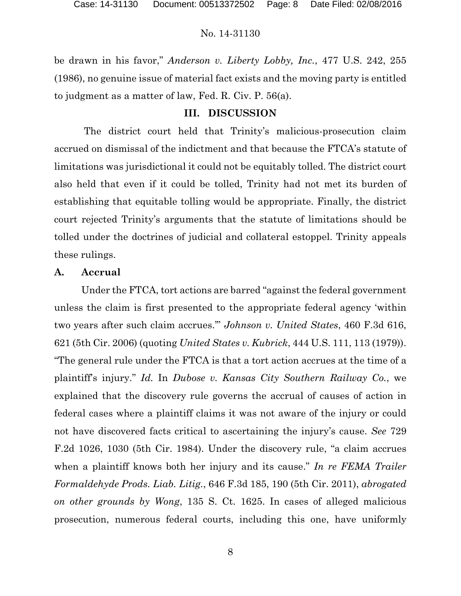be drawn in his favor," *Anderson v. Liberty Lobby, Inc.*, 477 U.S. 242, 255 (1986), no genuine issue of material fact exists and the moving party is entitled to judgment as a matter of law, Fed. R. Civ. P. 56(a).

## **III. DISCUSSION**

The district court held that Trinity's malicious-prosecution claim accrued on dismissal of the indictment and that because the FTCA's statute of limitations was jurisdictional it could not be equitably tolled. The district court also held that even if it could be tolled, Trinity had not met its burden of establishing that equitable tolling would be appropriate. Finally, the district court rejected Trinity's arguments that the statute of limitations should be tolled under the doctrines of judicial and collateral estoppel. Trinity appeals these rulings.

## **A. Accrual**

Under the FTCA, tort actions are barred "against the federal government unless the claim is first presented to the appropriate federal agency 'within two years after such claim accrues.'" *Johnson v. United States*, 460 F.3d 616, 621 (5th Cir. 2006) (quoting *United States v. Kubrick*, 444 U.S. 111, 113 (1979)). "The general rule under the FTCA is that a tort action accrues at the time of a plaintiff's injury." *Id.* In *Dubose v. Kansas City Southern Railway Co.*, we explained that the discovery rule governs the accrual of causes of action in federal cases where a plaintiff claims it was not aware of the injury or could not have discovered facts critical to ascertaining the injury's cause. *See* 729 F.2d 1026, 1030 (5th Cir. 1984). Under the discovery rule, "a claim accrues when a plaintiff knows both her injury and its cause." *In re FEMA Trailer Formaldehyde Prods. Liab. Litig.*, 646 F.3d 185, 190 (5th Cir. 2011), *abrogated on other grounds by Wong*, 135 S. Ct. 1625. In cases of alleged malicious prosecution, numerous federal courts, including this one, have uniformly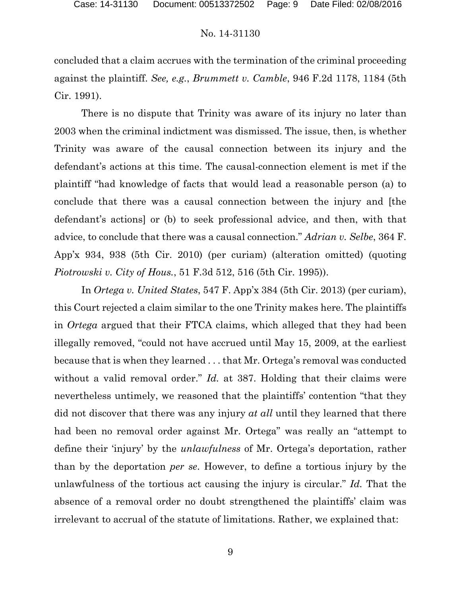concluded that a claim accrues with the termination of the criminal proceeding against the plaintiff. *See, e.g.*, *Brummett v. Camble*, 946 F.2d 1178, 1184 (5th Cir. 1991).

There is no dispute that Trinity was aware of its injury no later than 2003 when the criminal indictment was dismissed. The issue, then, is whether Trinity was aware of the causal connection between its injury and the defendant's actions at this time. The causal-connection element is met if the plaintiff "had knowledge of facts that would lead a reasonable person (a) to conclude that there was a causal connection between the injury and [the defendant's actions] or (b) to seek professional advice, and then, with that advice, to conclude that there was a causal connection." *Adrian v. Selbe*, 364 F. App'x 934, 938 (5th Cir. 2010) (per curiam) (alteration omitted) (quoting *Piotrowski v. City of Hous.*, 51 F.3d 512, 516 (5th Cir. 1995)).

In *Ortega v. United States*, 547 F. App'x 384 (5th Cir. 2013) (per curiam), this Court rejected a claim similar to the one Trinity makes here. The plaintiffs in *Ortega* argued that their FTCA claims, which alleged that they had been illegally removed, "could not have accrued until May 15, 2009, at the earliest because that is when they learned . . . that Mr. Ortega's removal was conducted without a valid removal order." *Id.* at 387. Holding that their claims were nevertheless untimely, we reasoned that the plaintiffs' contention "that they did not discover that there was any injury *at all* until they learned that there had been no removal order against Mr. Ortega" was really an "attempt to define their 'injury' by the *unlawfulness* of Mr. Ortega's deportation, rather than by the deportation *per se*. However, to define a tortious injury by the unlawfulness of the tortious act causing the injury is circular." *Id.* That the absence of a removal order no doubt strengthened the plaintiffs' claim was irrelevant to accrual of the statute of limitations. Rather, we explained that: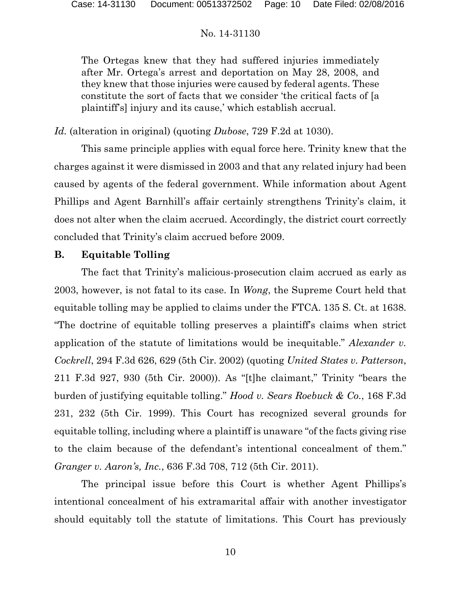The Ortegas knew that they had suffered injuries immediately after Mr. Ortega's arrest and deportation on May 28, 2008, and they knew that those injuries were caused by federal agents. These constitute the sort of facts that we consider 'the critical facts of [a plaintiff's] injury and its cause,' which establish accrual.

*Id.* (alteration in original) (quoting *Dubose*, 729 F.2d at 1030).

This same principle applies with equal force here. Trinity knew that the charges against it were dismissed in 2003 and that any related injury had been caused by agents of the federal government. While information about Agent Phillips and Agent Barnhill's affair certainly strengthens Trinity's claim, it does not alter when the claim accrued. Accordingly, the district court correctly concluded that Trinity's claim accrued before 2009.

# **B. Equitable Tolling**

The fact that Trinity's malicious-prosecution claim accrued as early as 2003, however, is not fatal to its case. In *Wong*, the Supreme Court held that equitable tolling may be applied to claims under the FTCA. 135 S. Ct. at 1638. "The doctrine of equitable tolling preserves a plaintiff's claims when strict application of the statute of limitations would be inequitable." *Alexander v. Cockrell*, 294 F.3d 626, 629 (5th Cir. 2002) (quoting *United States v. Patterson*, 211 F.3d 927, 930 (5th Cir. 2000)). As "[t]he claimant," Trinity "bears the burden of justifying equitable tolling." *Hood v. Sears Roebuck & Co.*, 168 F.3d 231, 232 (5th Cir. 1999). This Court has recognized several grounds for equitable tolling, including where a plaintiff is unaware "of the facts giving rise to the claim because of the defendant's intentional concealment of them." *Granger v. Aaron's, Inc.*, 636 F.3d 708, 712 (5th Cir. 2011).

The principal issue before this Court is whether Agent Phillips's intentional concealment of his extramarital affair with another investigator should equitably toll the statute of limitations. This Court has previously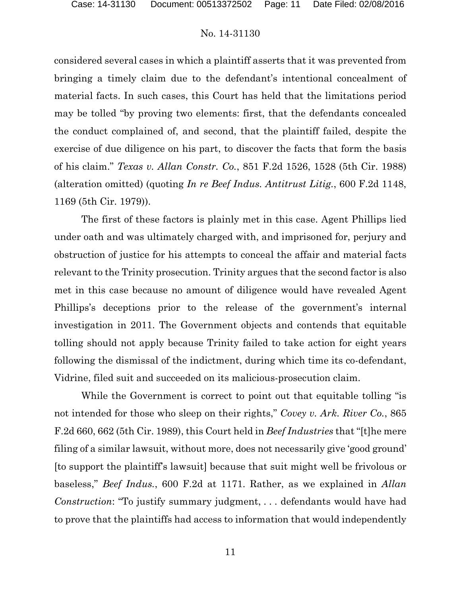considered several cases in which a plaintiff asserts that it was prevented from bringing a timely claim due to the defendant's intentional concealment of material facts. In such cases, this Court has held that the limitations period may be tolled "by proving two elements: first, that the defendants concealed the conduct complained of, and second, that the plaintiff failed, despite the exercise of due diligence on his part, to discover the facts that form the basis of his claim." *Texas v. Allan Constr. Co.*, 851 F.2d 1526, 1528 (5th Cir. 1988) (alteration omitted) (quoting *In re Beef Indus. Antitrust Litig.*, 600 F.2d 1148, 1169 (5th Cir. 1979)).

The first of these factors is plainly met in this case. Agent Phillips lied under oath and was ultimately charged with, and imprisoned for, perjury and obstruction of justice for his attempts to conceal the affair and material facts relevant to the Trinity prosecution. Trinity argues that the second factor is also met in this case because no amount of diligence would have revealed Agent Phillips's deceptions prior to the release of the government's internal investigation in 2011. The Government objects and contends that equitable tolling should not apply because Trinity failed to take action for eight years following the dismissal of the indictment, during which time its co-defendant, Vidrine, filed suit and succeeded on its malicious-prosecution claim.

While the Government is correct to point out that equitable tolling "is not intended for those who sleep on their rights," *Covey v. Ark. River Co.*, 865 F.2d 660, 662 (5th Cir. 1989), this Court held in *Beef Industries* that "[t]he mere filing of a similar lawsuit, without more, does not necessarily give 'good ground' [to support the plaintiff's lawsuit] because that suit might well be frivolous or baseless," *Beef Indus.*, 600 F.2d at 1171. Rather, as we explained in *Allan Construction*: "To justify summary judgment, . . . defendants would have had to prove that the plaintiffs had access to information that would independently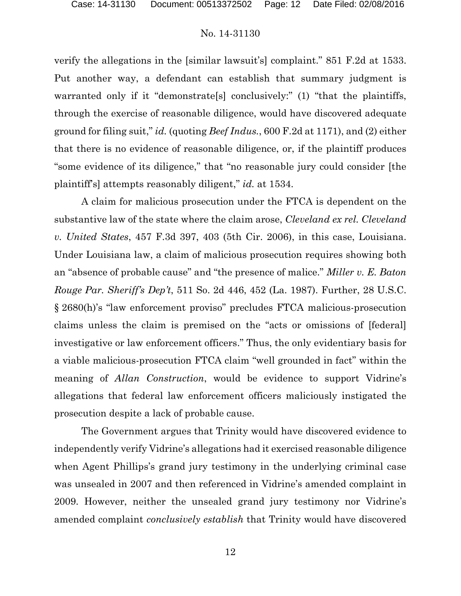verify the allegations in the [similar lawsuit's] complaint." 851 F.2d at 1533. Put another way, a defendant can establish that summary judgment is warranted only if it "demonstrate<sup>[s]</sup> conclusively:" (1) "that the plaintiffs, through the exercise of reasonable diligence, would have discovered adequate ground for filing suit," *id.* (quoting *Beef Indus.*, 600 F.2d at 1171), and (2) either that there is no evidence of reasonable diligence, or, if the plaintiff produces "some evidence of its diligence," that "no reasonable jury could consider [the plaintiff's] attempts reasonably diligent," *id.* at 1534.

A claim for malicious prosecution under the FTCA is dependent on the substantive law of the state where the claim arose, *Cleveland ex rel. Cleveland v. United States*, 457 F.3d 397, 403 (5th Cir. 2006), in this case, Louisiana. Under Louisiana law, a claim of malicious prosecution requires showing both an "absence of probable cause" and "the presence of malice." *Miller v. E. Baton Rouge Par. Sheriff's Dep't*, 511 So. 2d 446, 452 (La. 1987). Further, 28 U.S.C. § 2680(h)'s "law enforcement proviso" precludes FTCA malicious-prosecution claims unless the claim is premised on the "acts or omissions of [federal] investigative or law enforcement officers." Thus, the only evidentiary basis for a viable malicious-prosecution FTCA claim "well grounded in fact" within the meaning of *Allan Construction*, would be evidence to support Vidrine's allegations that federal law enforcement officers maliciously instigated the prosecution despite a lack of probable cause.

The Government argues that Trinity would have discovered evidence to independently verify Vidrine's allegations had it exercised reasonable diligence when Agent Phillips's grand jury testimony in the underlying criminal case was unsealed in 2007 and then referenced in Vidrine's amended complaint in 2009. However, neither the unsealed grand jury testimony nor Vidrine's amended complaint *conclusively establish* that Trinity would have discovered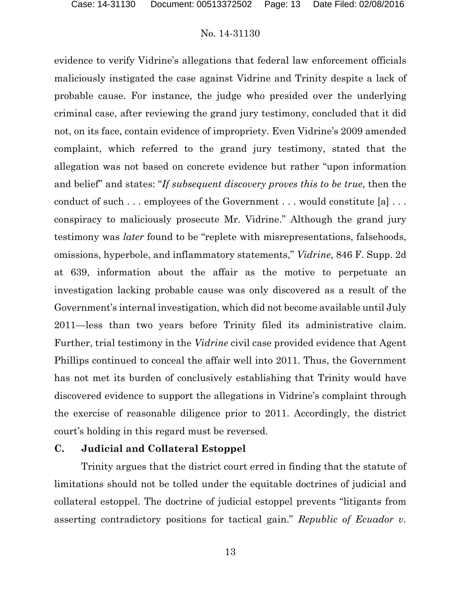evidence to verify Vidrine's allegations that federal law enforcement officials maliciously instigated the case against Vidrine and Trinity despite a lack of probable cause. For instance, the judge who presided over the underlying criminal case, after reviewing the grand jury testimony, concluded that it did not, on its face, contain evidence of impropriety. Even Vidrine's 2009 amended complaint, which referred to the grand jury testimony, stated that the allegation was not based on concrete evidence but rather "upon information and belief" and states: "*If subsequent discovery proves this to be true*, then the conduct of such . . . employees of the Government . . . would constitute [a] . . . conspiracy to maliciously prosecute Mr. Vidrine." Although the grand jury testimony was *later* found to be "replete with misrepresentations, falsehoods, omissions, hyperbole, and inflammatory statements," *Vidrine*, 846 F. Supp. 2d at 639, information about the affair as the motive to perpetuate an investigation lacking probable cause was only discovered as a result of the Government's internal investigation, which did not become available until July 2011—less than two years before Trinity filed its administrative claim. Further, trial testimony in the *Vidrine* civil case provided evidence that Agent Phillips continued to conceal the affair well into 2011. Thus, the Government has not met its burden of conclusively establishing that Trinity would have discovered evidence to support the allegations in Vidrine's complaint through the exercise of reasonable diligence prior to 2011. Accordingly, the district court's holding in this regard must be reversed.

### **C. Judicial and Collateral Estoppel**

Trinity argues that the district court erred in finding that the statute of limitations should not be tolled under the equitable doctrines of judicial and collateral estoppel. The doctrine of judicial estoppel prevents "litigants from asserting contradictory positions for tactical gain." *Republic of Ecuador v.*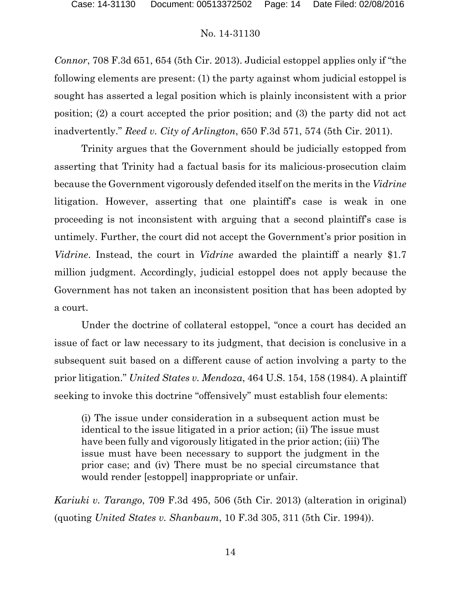*Connor*, 708 F.3d 651, 654 (5th Cir. 2013). Judicial estoppel applies only if "the following elements are present: (1) the party against whom judicial estoppel is sought has asserted a legal position which is plainly inconsistent with a prior position; (2) a court accepted the prior position; and (3) the party did not act inadvertently." *Reed v. City of Arlington*, 650 F.3d 571, 574 (5th Cir. 2011).

Trinity argues that the Government should be judicially estopped from asserting that Trinity had a factual basis for its malicious-prosecution claim because the Government vigorously defended itself on the merits in the *Vidrine* litigation. However, asserting that one plaintiff's case is weak in one proceeding is not inconsistent with arguing that a second plaintiff's case is untimely. Further, the court did not accept the Government's prior position in *Vidrine*. Instead, the court in *Vidrine* awarded the plaintiff a nearly \$1.7 million judgment. Accordingly, judicial estoppel does not apply because the Government has not taken an inconsistent position that has been adopted by a court.

Under the doctrine of collateral estoppel, "once a court has decided an issue of fact or law necessary to its judgment, that decision is conclusive in a subsequent suit based on a different cause of action involving a party to the prior litigation." *United States v. Mendoza*, 464 U.S. 154, 158 (1984). A plaintiff seeking to invoke this doctrine "offensively" must establish four elements:

(i) The issue under consideration in a subsequent action must be identical to the issue litigated in a prior action; (ii) The issue must have been fully and vigorously litigated in the prior action; (iii) The issue must have been necessary to support the judgment in the prior case; and (iv) There must be no special circumstance that would render [estoppel] inappropriate or unfair.

*Kariuki v. Tarango*, 709 F.3d 495, 506 (5th Cir. 2013) (alteration in original) (quoting *United States v. Shanbaum*, 10 F.3d 305, 311 (5th Cir. 1994)).

14